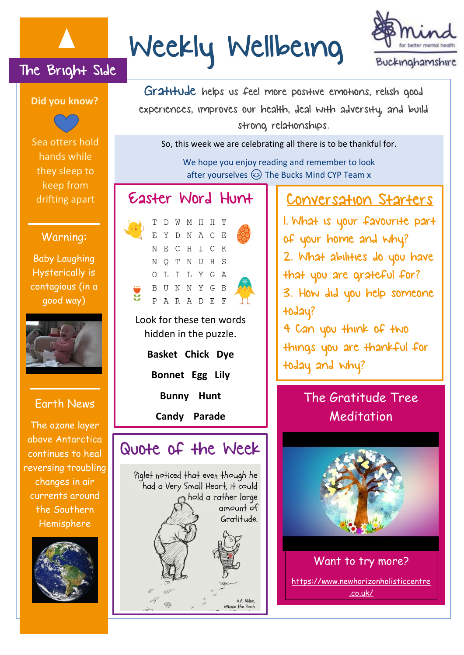

# Weekly Wellbeing



The Bright Side



Sea otters hold hands while they sleep to keep from drifting apart

#### Warning:

Baby Laughing Hysterically is contagious (in a good way)



#### Earth News

The ozone layer above Antarctica continues to heal reversing troubling changes in air currents around the Southern Hemisphere



Gratitude helps us feel more positive emotions, relish good experiences, improves our health, deal with adversity, and build strong relationships.

So, this week we are celebrating all there is to be thankful for.

We hope you enjoy reading and remember to look after yourselves  $\circled{c}$  The Bucks Mind CYP Team x

#### Easter Word Hunt



Look for these ten words hidden in the puzzle.

**Basket Chick Dye**

**Bonnet Egg Lily**

**Bunny Hunt**

**Candy Parade**

## Quote of the Week Piglet noticed that even though he

had a Very Small Heart, it could hold a rather large amount of Gratitude. A.A. Milne, Winnie the Pooh

#### Conversation Starters

1. What is your favourite part of your home and why? 2. What abilities do you have that you are grateful for? 3. How did you help someone today? 4 Can you think of two things you are thankful for today and why?

### The Gratitude Tree Meditation



Want to try more? [https://www.newhorizonholisticcentre](https://www.newhorizonholisticcentre.co.uk/) [.co.uk/](https://www.newhorizonholisticcentre.co.uk/)